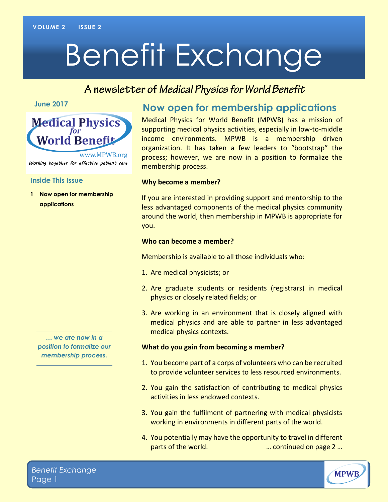# Benefit Exchange

## A newsletter of Medical Physics for World Benefit

**June 2017**



#### **Inside This Issue**

**1 Now open for membership applications**

*… we are now in a position to formalize our membership process.*

## **Now open for membership applications**

Medical Physics for World Benefit (MPWB) has a mission of supporting medical physics activities, especially in low-to-middle income environments. MPWB is a membership driven organization. It has taken a few leaders to "bootstrap" the process; however, we are now in a position to formalize the membership process.

#### **Why become a member?**

If you are interested in providing support and mentorship to the less advantaged components of the medical physics community around the world, then membership in MPWB is appropriate for you.

#### **Who can become a member?**

Membership is available to all those individuals who:

- 1. Are medical physicists; or
- 2. Are graduate students or residents (registrars) in medical physics or closely related fields; or
- 3. Are working in an environment that is closely aligned with medical physics and are able to partner in less advantaged medical physics contexts.

#### **What do you gain from becoming a member?**

- 1. You become part of a corps of volunteers who can be recruited to provide volunteer services to less resourced environments.
- 2. You gain the satisfaction of contributing to medical physics activities in less endowed contexts.
- 3. You gain the fulfilment of partnering with medical physicists working in environments in different parts of the world.
- 4. You potentially may have the opportunity to travel in different parts of the world. … continued on page 2 …